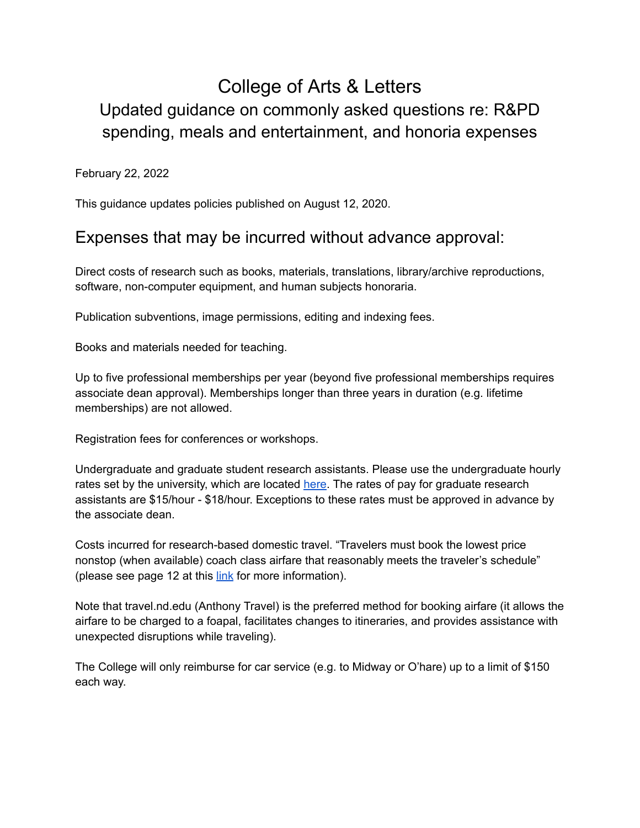# College of Arts & Letters Updated guidance on commonly asked questions re: R&PD spending, meals and entertainment, and honoria expenses

February 22, 2022

This guidance updates policies published on August 12, 2020.

#### Expenses that may be incurred without advance approval:

Direct costs of research such as books, materials, translations, library/archive reproductions, software, non-computer equipment, and human subjects honoraria.

Publication subventions, image permissions, editing and indexing fees.

Books and materials needed for teaching.

Up to five professional memberships per year (beyond five professional memberships requires associate dean approval). Memberships longer than three years in duration (e.g. lifetime memberships) are not allowed.

Registration fees for conferences or workshops.

Undergraduate and graduate student research assistants. Please use the undergraduate hourly rates set by the university, which are located [here.](https://studentjobs.nd.edu/eligibility-rates/) The rates of pay for graduate research assistants are \$15/hour - \$18/hour. Exceptions to these rates must be approved in advance by the associate dean.

Costs incurred for research-based domestic travel. "Travelers must book the lowest price nonstop (when available) coach class airfare that reasonably meets the traveler's schedule" (please see page 12 at this [link](https://controller.nd.edu/assets/418649/travel_policy_current.pdf) for more information).

Note that travel.nd.edu (Anthony Travel) is the preferred method for booking airfare (it allows the airfare to be charged to a foapal, facilitates changes to itineraries, and provides assistance with unexpected disruptions while traveling).

The College will only reimburse for car service (e.g. to Midway or O'hare) up to a limit of \$150 each way.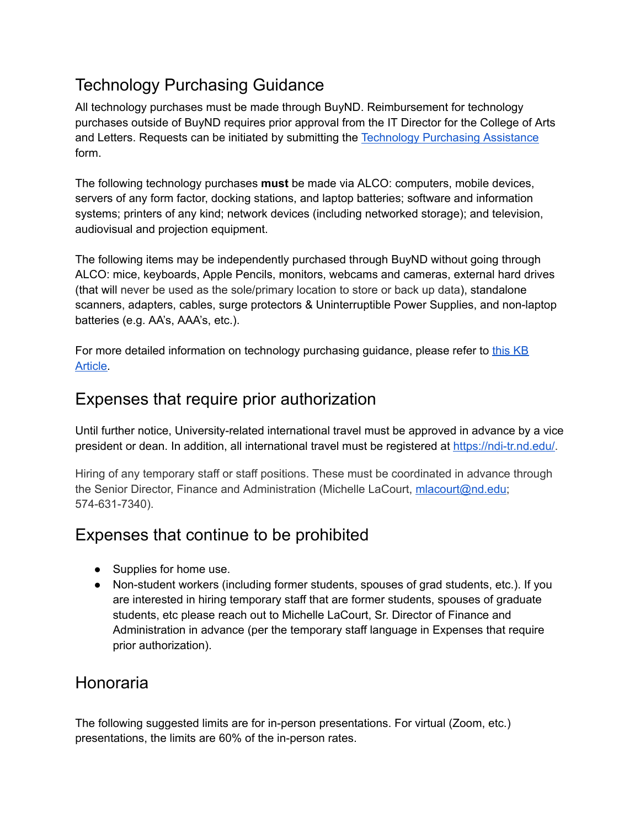# Technology Purchasing Guidance

All technology purchases must be made through BuyND. Reimbursement for technology purchases outside of BuyND requires prior approval from the IT Director for the College of Arts and Letters. Requests can be initiated by submitting the [Technology](https://nd.service-now.com/nd_portal?id=sc_cat_item&sys_id=5b18c8e51b5e28109a56ea866e4bcb21) Purchasing Assistance form.

The following technology purchases **must** be made via ALCO: computers, mobile devices, servers of any form factor, docking stations, and laptop batteries; software and information systems; printers of any kind; network devices (including networked storage); and television, audiovisual and projection equipment.

The following items may be independently purchased through BuyND without going through ALCO: mice, keyboards, Apple Pencils, monitors, webcams and cameras, external hard drives (that will never be used as the sole/primary location to store or back up data), standalone scanners, adapters, cables, surge protectors & Uninterruptible Power Supplies, and non-laptop batteries (e.g. AA's, AAA's, etc.).

For more detailed information on technology purchasing guidance, please refer to [this](https://nd.service-now.com/nd_portal?id=kb_article_view&sysparm_article=KB0024060) KB [Article.](https://nd.service-now.com/nd_portal?id=kb_article_view&sysparm_article=KB0024060)

### Expenses that require prior authorization

Until further notice, University-related international travel must be approved in advance by a vice president or dean. In addition, all international travel must be registered at <https://ndi-tr.nd.edu/>.

Hiring of any temporary staff or staff positions. These must be coordinated in advance through the Senior Director, Finance and Administration (Michelle LaCourt, [mlacourt@nd.edu](mailto:mlacourt@nd.edu); 574-631-7340).

## Expenses that continue to be prohibited

- Supplies for home use.
- Non-student workers (including former students, spouses of grad students, etc.). If you are interested in hiring temporary staff that are former students, spouses of graduate students, etc please reach out to Michelle LaCourt, Sr. Director of Finance and Administration in advance (per the temporary staff language in Expenses that require prior authorization).

### Honoraria

The following suggested limits are for in-person presentations. For virtual (Zoom, etc.) presentations, the limits are 60% of the in-person rates.